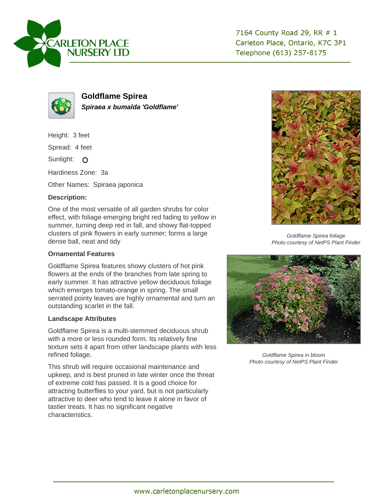



**Goldflame Spirea Spiraea x bumalda 'Goldflame'**

Height: 3 feet

Spread: 4 feet

Sunlight: O

Hardiness Zone: 3a

Other Names: Spiraea japonica

## **Description:**

One of the most versatile of all garden shrubs for color effect, with foliage emerging bright red fading to yellow in summer, turning deep red in fall, and showy flat-topped clusters of pink flowers in early summer; forms a large dense ball, neat and tidy

## **Ornamental Features**

Goldflame Spirea features showy clusters of hot pink flowers at the ends of the branches from late spring to early summer. It has attractive yellow deciduous foliage which emerges tomato-orange in spring. The small serrated pointy leaves are highly ornamental and turn an outstanding scarlet in the fall.

## **Landscape Attributes**

Goldflame Spirea is a multi-stemmed deciduous shrub with a more or less rounded form. Its relatively fine texture sets it apart from other landscape plants with less refined foliage.

This shrub will require occasional maintenance and upkeep, and is best pruned in late winter once the threat of extreme cold has passed. It is a good choice for attracting butterflies to your yard, but is not particularly attractive to deer who tend to leave it alone in favor of tastier treats. It has no significant negative characteristics.



Goldflame Spirea foliage Photo courtesy of NetPS Plant Finder



Goldflame Spirea in bloom Photo courtesy of NetPS Plant Finder